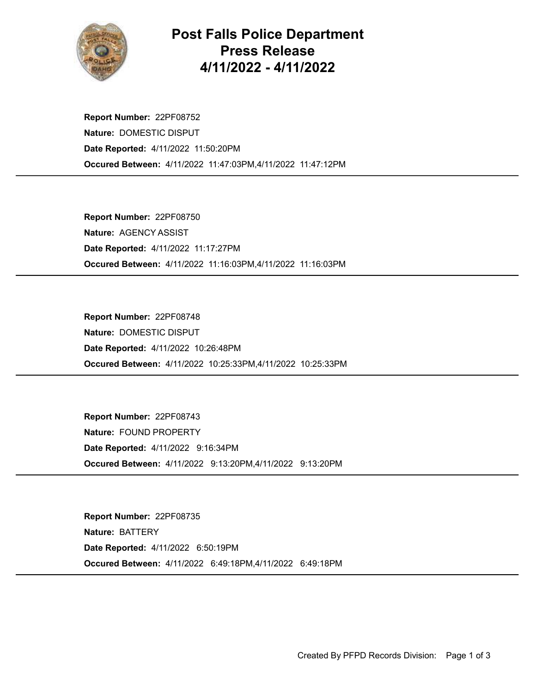

## Post Falls Police Department Press Release 4/11/2022 - 4/11/2022

Occured Between: 4/11/2022 11:47:03PM,4/11/2022 11:47:12PM Report Number: 22PF08752 Nature: DOMESTIC DISPUT Date Reported: 4/11/2022 11:50:20PM

Occured Between: 4/11/2022 11:16:03PM,4/11/2022 11:16:03PM Report Number: 22PF08750 Nature: AGENCY ASSIST Date Reported: 4/11/2022 11:17:27PM

Occured Between: 4/11/2022 10:25:33PM,4/11/2022 10:25:33PM Report Number: 22PF08748 Nature: DOMESTIC DISPUT Date Reported: 4/11/2022 10:26:48PM

Occured Between: 4/11/2022 9:13:20PM,4/11/2022 9:13:20PM Report Number: 22PF08743 Nature: FOUND PROPERTY Date Reported: 4/11/2022 9:16:34PM

Occured Between: 4/11/2022 6:49:18PM,4/11/2022 6:49:18PM Report Number: 22PF08735 Nature: BATTERY Date Reported: 4/11/2022 6:50:19PM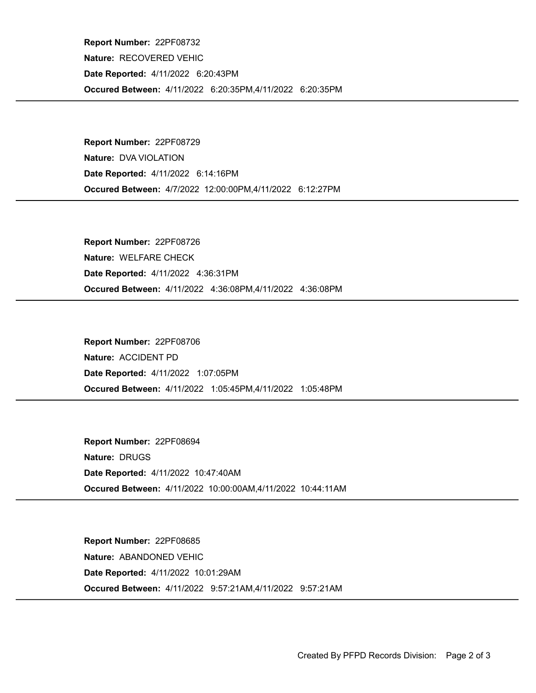Occured Between: 4/11/2022 6:20:35PM,4/11/2022 6:20:35PM Report Number: 22PF08732 Nature: RECOVERED VEHIC Date Reported: 4/11/2022 6:20:43PM

Occured Between: 4/7/2022 12:00:00PM,4/11/2022 6:12:27PM Report Number: 22PF08729 Nature: DVA VIOLATION Date Reported: 4/11/2022 6:14:16PM

Occured Between: 4/11/2022 4:36:08PM,4/11/2022 4:36:08PM Report Number: 22PF08726 Nature: WELFARE CHECK Date Reported: 4/11/2022 4:36:31PM

Occured Between: 4/11/2022 1:05:45PM,4/11/2022 1:05:48PM Report Number: 22PF08706 Nature: ACCIDENT PD Date Reported: 4/11/2022 1:07:05PM

Occured Between: 4/11/2022 10:00:00AM,4/11/2022 10:44:11AM Report Number: 22PF08694 Nature: DRUGS Date Reported: 4/11/2022 10:47:40AM

Occured Between: 4/11/2022 9:57:21AM,4/11/2022 9:57:21AM Report Number: 22PF08685 Nature: ABANDONED VEHIC Date Reported: 4/11/2022 10:01:29AM